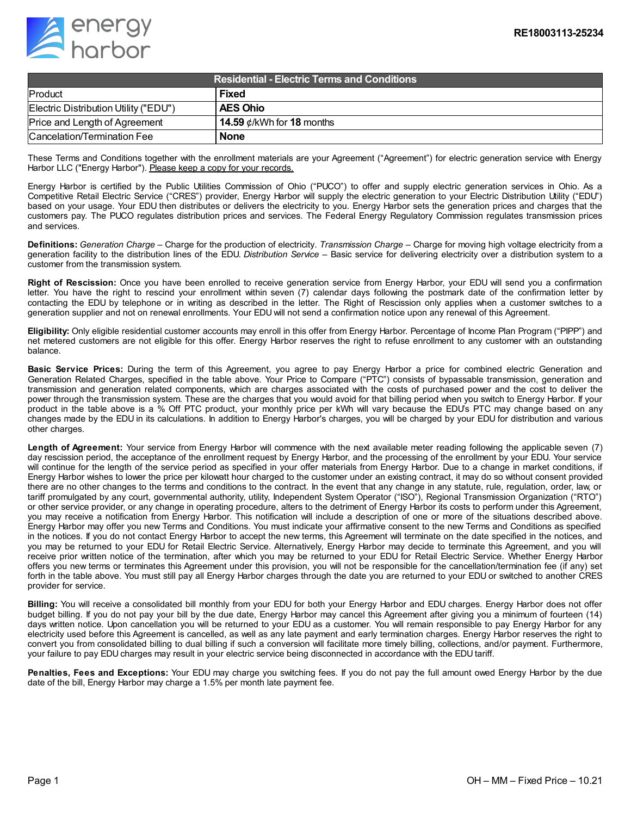

| <b>Residential - Electric Terms and Conditions</b> |                                 |
|----------------------------------------------------|---------------------------------|
| Product                                            | <b>Fixed</b>                    |
| Electric Distribution Utility ("EDU")              | <b>AES Ohio</b>                 |
| Price and Length of Agreement                      | 14.59 $\phi$ /kWh for 18 months |
| Cancelation/Termination Fee                        | <b>None</b>                     |

These Terms and Conditions together with the enrollment materials are your Agreement ("Agreement") for electric generation service with Energy Harbor LLC ("Energy Harbor"). Please keep a copy for your records.

Energy Harbor is certified by the Public Utilities Commission of Ohio ("PUCO") to offer and supply electric generation services in Ohio. As a Competitive Retail Electric Service ("CRES") provider, Energy Harbor will supply the electric generation to your Electric Distribution Utility ("EDU") based on your usage. Your EDU then distributes or delivers the electricity to you. Energy Harbor sets the generation prices and charges that the customers pay. The PUCO regulates distribution prices and services. The Federal Energy Regulatory Commission regulates transmission prices and services.

**Definitions:** *Generation Charge* – Charge for the production of electricity. *Transmission Charge* – Charge for moving high voltage electricity from a generation facility to the distribution lines of the EDU. *Distribution Service* – Basic service for delivering electricity over a distribution system to a customer from the transmission system.

**Right of Rescission:** Once you have been enrolled to receive generation service from Energy Harbor, your EDU will send you a confirmation letter. You have the right to rescind your enrollment within seven (7) calendar days following the postmark date of the confirmation letter by contacting the EDU by telephone or in writing as described in the letter. The Right of Rescission only applies when a customer switches to a generation supplier and not on renewal enrollments. Your EDU will not send a confirmation notice upon any renewal of this Agreement.

**Eligibility:** Only eligible residential customer accounts may enroll in this offer from Energy Harbor. Percentage of Income Plan Program ("PIPP") and net metered customers are not eligible for this offer. Energy Harbor reserves the right to refuse enrollment to any customer with an outstanding balance.

**Basic Service Prices:** During the term of this Agreement, you agree to pay Energy Harbor a price for combined electric Generation and Generation Related Charges, specified in the table above. Your Price to Compare ("PTC") consists of bypassable transmission, generation and transmission and generation related components, which are charges associated with the costs of purchased power and the cost to deliver the power through the transmission system. These are the charges that you would avoid for that billing period when you switch to Energy Harbor. If your product in the table above is a % Off PTC product, your monthly price per kWh will vary because the EDU's PTC may change based on any changes made by the EDU in its calculations. In addition to Energy Harbor's charges, you will be charged by your EDU for distribution and various other charges.

**Length of Agreement:** Your service from Energy Harbor will commence with the next available meter reading following the applicable seven (7) day rescission period, the acceptance of the enrollment request by Energy Harbor, and the processing of the enrollment by your EDU. Your service will continue for the length of the service period as specified in your offer materials from Energy Harbor. Due to a change in market conditions, if Energy Harbor wishes to lower the price per kilowatt hour charged to the customer under an existing contract, it may do so without consent provided there are no other changes to the terms and conditions to the contract. In the event that any change in any statute, rule, regulation, order, law, or tariff promulgated by any court, governmental authority, utility, Independent System Operator ("ISO"), Regional Transmission Organization ("RTO") or other service provider, or any change in operating procedure, alters to the detriment of Energy Harbor its costs to perform under this Agreement, you may receive a notification from Energy Harbor. This notification will include a description of one or more of the situations described above. Energy Harbor may offer you new Terms and Conditions. You must indicate your affirmative consent to the new Terms and Conditions as specified in the notices. If you do not contact Energy Harbor to accept the new terms, this Agreement will terminate on the date specified in the notices, and you may be returned to your EDU for Retail Electric Service. Alternatively, Energy Harbor may decide to terminate this Agreement, and you will receive prior written notice of the termination, after which you may be returned to your EDU for Retail Electric Service. Whether Energy Harbor offers you new terms or terminates this Agreement under this provision, you will not be responsible for the cancellation/termination fee (if any) set forth in the table above. You must still pay all Energy Harbor charges through the date you are returned to your EDU or switched to another CRES provider for service.

**Billing:** You will receive a consolidated bill monthly from your EDU for both your Energy Harbor and EDU charges. Energy Harbor does not offer budget billing. If you do not pay your bill by the due date, Energy Harbor may cancel this Agreement after giving you a minimum of fourteen (14) days written notice. Upon cancellation you will be returned to your EDU as a customer. You will remain responsible to pay Energy Harbor for any electricity used before this Agreement is cancelled, as well as any late payment and early termination charges. Energy Harbor reserves the right to convert you from consolidated billing to dual billing if such a conversion will facilitate more timely billing, collections, and/or payment. Furthermore, your failure to pay EDU charges may result in your electric service being disconnected in accordance with the EDU tariff.

**Penalties, Fees and Exceptions:** Your EDU may charge you switching fees. If you do not pay the full amount owed Energy Harbor by the due date of the bill, Energy Harbor may charge a 1.5% per month late payment fee.